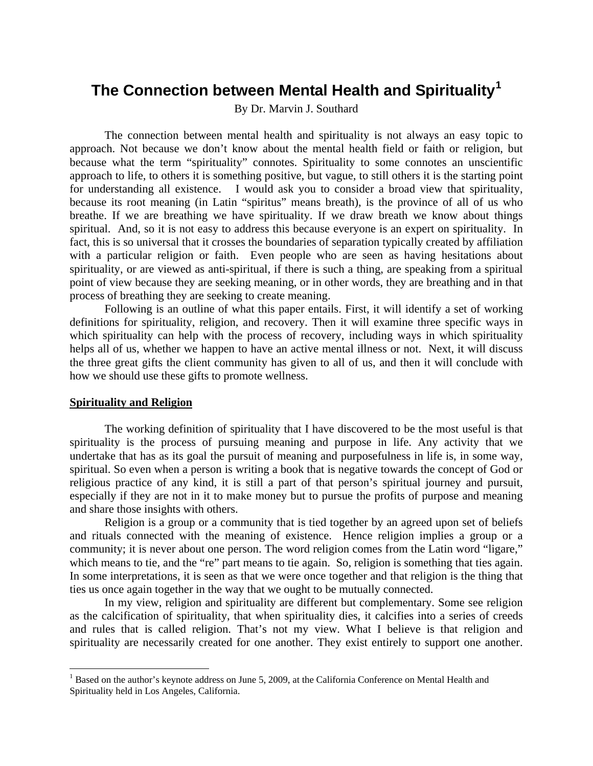# **The Connection between Mental Health and Spirituality[1](#page-0-0)**

By Dr. Marvin J. Southard

The connection between mental health and spirituality is not always an easy topic to approach. Not because we don't know about the mental health field or faith or religion, but because what the term "spirituality" connotes. Spirituality to some connotes an unscientific approach to life, to others it is something positive, but vague, to still others it is the starting point for understanding all existence. I would ask you to consider a broad view that spirituality, because its root meaning (in Latin "spiritus" means breath), is the province of all of us who breathe. If we are breathing we have spirituality. If we draw breath we know about things spiritual. And, so it is not easy to address this because everyone is an expert on spirituality. In fact, this is so universal that it crosses the boundaries of separation typically created by affiliation with a particular religion or faith. Even people who are seen as having hesitations about spirituality, or are viewed as anti-spiritual, if there is such a thing, are speaking from a spiritual point of view because they are seeking meaning, or in other words, they are breathing and in that process of breathing they are seeking to create meaning.

Following is an outline of what this paper entails. First, it will identify a set of working definitions for spirituality, religion, and recovery. Then it will examine three specific ways in which spirituality can help with the process of recovery, including ways in which spirituality helps all of us, whether we happen to have an active mental illness or not. Next, it will discuss the three great gifts the client community has given to all of us, and then it will conclude with how we should use these gifts to promote wellness.

## **Spirituality and Religion**

 $\overline{a}$ 

The working definition of spirituality that I have discovered to be the most useful is that spirituality is the process of pursuing meaning and purpose in life. Any activity that we undertake that has as its goal the pursuit of meaning and purposefulness in life is, in some way, spiritual. So even when a person is writing a book that is negative towards the concept of God or religious practice of any kind, it is still a part of that person's spiritual journey and pursuit, especially if they are not in it to make money but to pursue the profits of purpose and meaning and share those insights with others.

Religion is a group or a community that is tied together by an agreed upon set of beliefs and rituals connected with the meaning of existence. Hence religion implies a group or a community; it is never about one person. The word religion comes from the Latin word "ligare," which means to tie, and the "re" part means to tie again. So, religion is something that ties again. In some interpretations, it is seen as that we were once together and that religion is the thing that ties us once again together in the way that we ought to be mutually connected.

In my view, religion and spirituality are different but complementary. Some see religion as the calcification of spirituality, that when spirituality dies, it calcifies into a series of creeds and rules that is called religion. That's not my view. What I believe is that religion and spirituality are necessarily created for one another. They exist entirely to support one another.

<span id="page-0-0"></span><sup>&</sup>lt;sup>1</sup> Based on the author's keynote address on June 5, 2009, at the California Conference on Mental Health and Spirituality held in Los Angeles, California.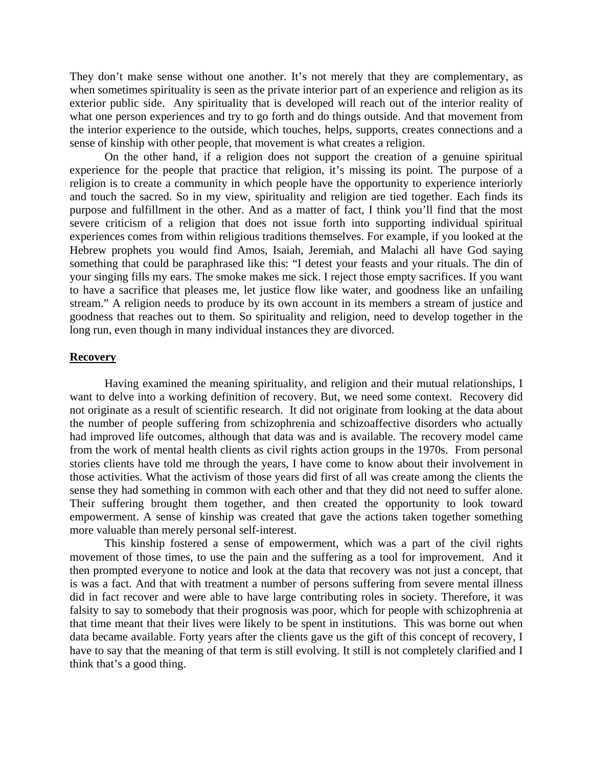They don't make sense without one another. It's not merely that they are complementary, as when sometimes spirituality is seen as the private interior part of an experience and religion as its exterior public side. Any spirituality that is developed will reach out of the interior reality of what one person experiences and try to go forth and do things outside. And that movement from the interior experience to the outside, which touches, helps, supports, creates connections and a sense of kinship with other people, that movement is what creates a religion.

On the other hand, if a religion does not support the creation of a genuine spiritual experience for the people that practice that religion, it's missing its point. The purpose of a religion is to create a community in which people have the opportunity to experience interiorly and touch the sacred. So in my view, spirituality and religion are tied together. Each finds its purpose and fulfillment in the other. And as a matter of fact, I think you'll find that the most severe criticism of a religion that does not issue forth into supporting individual spiritual experiences comes from within religious traditions themselves. For example, if you looked at the Hebrew prophets you would find Amos, Isaiah, Jeremiah, and Malachi all have God saying something that could be paraphrased like this: "I detest your feasts and your rituals. The din of your singing fills my ears. The smoke makes me sick. I reject those empty sacrifices. If you want to have a sacrifice that pleases me, let justice flow like water, and goodness like an unfailing stream." A religion needs to produce by its own account in its members a stream of justice and goodness that reaches out to them. So spirituality and religion, need to develop together in the long run, even though in many individual instances they are divorced.

## **Recovery**

Having examined the meaning spirituality, and religion and their mutual relationships, I want to delve into a working definition of recovery. But, we need some context. Recovery did not originate as a result of scientific research. It did not originate from looking at the data about the number of people suffering from schizophrenia and schizoaffective disorders who actually had improved life outcomes, although that data was and is available. The recovery model came from the work of mental health clients as civil rights action groups in the 1970s. From personal stories clients have told me through the years, I have come to know about their involvement in those activities. What the activism of those years did first of all was create among the clients the sense they had something in common with each other and that they did not need to suffer alone. Their suffering brought them together, and then created the opportunity to look toward empowerment. A sense of kinship was created that gave the actions taken together something more valuable than merely personal self-interest.

This kinship fostered a sense of empowerment, which was a part of the civil rights movement of those times, to use the pain and the suffering as a tool for improvement. And it then prompted everyone to notice and look at the data that recovery was not just a concept, that is was a fact. And that with treatment a number of persons suffering from severe mental illness did in fact recover and were able to have large contributing roles in society. Therefore, it was falsity to say to somebody that their prognosis was poor, which for people with schizophrenia at that time meant that their lives were likely to be spent in institutions. This was borne out when data became available. Forty years after the clients gave us the gift of this concept of recovery, I have to say that the meaning of that term is still evolving. It still is not completely clarified and I think that's a good thing.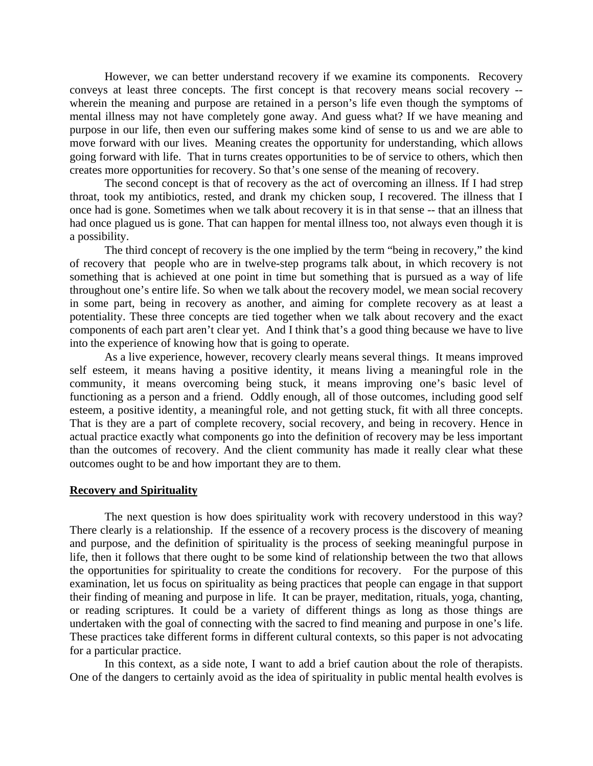However, we can better understand recovery if we examine its components. Recovery conveys at least three concepts. The first concept is that recovery means social recovery - wherein the meaning and purpose are retained in a person's life even though the symptoms of mental illness may not have completely gone away. And guess what? If we have meaning and purpose in our life, then even our suffering makes some kind of sense to us and we are able to move forward with our lives. Meaning creates the opportunity for understanding, which allows going forward with life. That in turns creates opportunities to be of service to others, which then creates more opportunities for recovery. So that's one sense of the meaning of recovery.

The second concept is that of recovery as the act of overcoming an illness. If I had strep throat, took my antibiotics, rested, and drank my chicken soup, I recovered. The illness that I once had is gone. Sometimes when we talk about recovery it is in that sense -- that an illness that had once plagued us is gone. That can happen for mental illness too, not always even though it is a possibility.

The third concept of recovery is the one implied by the term "being in recovery," the kind of recovery that people who are in twelve-step programs talk about, in which recovery is not something that is achieved at one point in time but something that is pursued as a way of life throughout one's entire life. So when we talk about the recovery model, we mean social recovery in some part, being in recovery as another, and aiming for complete recovery as at least a potentiality. These three concepts are tied together when we talk about recovery and the exact components of each part aren't clear yet. And I think that's a good thing because we have to live into the experience of knowing how that is going to operate.

As a live experience, however, recovery clearly means several things. It means improved self esteem, it means having a positive identity, it means living a meaningful role in the community, it means overcoming being stuck, it means improving one's basic level of functioning as a person and a friend. Oddly enough, all of those outcomes, including good self esteem, a positive identity, a meaningful role, and not getting stuck, fit with all three concepts. That is they are a part of complete recovery, social recovery, and being in recovery. Hence in actual practice exactly what components go into the definition of recovery may be less important than the outcomes of recovery. And the client community has made it really clear what these outcomes ought to be and how important they are to them.

#### **Recovery and Spirituality**

The next question is how does spirituality work with recovery understood in this way? There clearly is a relationship. If the essence of a recovery process is the discovery of meaning and purpose, and the definition of spirituality is the process of seeking meaningful purpose in life, then it follows that there ought to be some kind of relationship between the two that allows the opportunities for spirituality to create the conditions for recovery. For the purpose of this examination, let us focus on spirituality as being practices that people can engage in that support their finding of meaning and purpose in life. It can be prayer, meditation, rituals, yoga, chanting, or reading scriptures. It could be a variety of different things as long as those things are undertaken with the goal of connecting with the sacred to find meaning and purpose in one's life. These practices take different forms in different cultural contexts, so this paper is not advocating for a particular practice.

In this context, as a side note, I want to add a brief caution about the role of therapists. One of the dangers to certainly avoid as the idea of spirituality in public mental health evolves is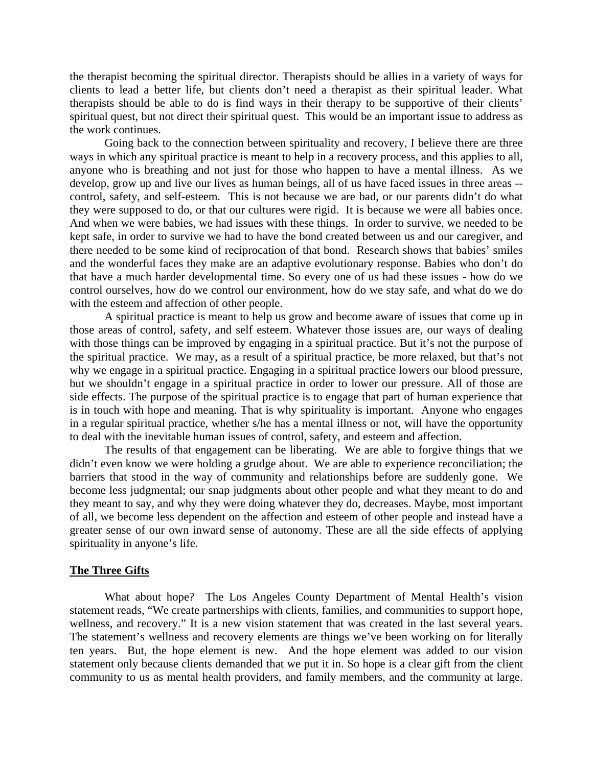the therapist becoming the spiritual director. Therapists should be allies in a variety of ways for clients to lead a better life, but clients don't need a therapist as their spiritual leader. What therapists should be able to do is find ways in their therapy to be supportive of their clients' spiritual quest, but not direct their spiritual quest. This would be an important issue to address as the work continues.

Going back to the connection between spirituality and recovery, I believe there are three ways in which any spiritual practice is meant to help in a recovery process, and this applies to all, anyone who is breathing and not just for those who happen to have a mental illness. As we develop, grow up and live our lives as human beings, all of us have faced issues in three areas - control, safety, and self-esteem. This is not because we are bad, or our parents didn't do what they were supposed to do, or that our cultures were rigid. It is because we were all babies once. And when we were babies, we had issues with these things. In order to survive, we needed to be kept safe, in order to survive we had to have the bond created between us and our caregiver, and there needed to be some kind of reciprocation of that bond. Research shows that babies' smiles and the wonderful faces they make are an adaptive evolutionary response. Babies who don't do that have a much harder developmental time. So every one of us had these issues - how do we control ourselves, how do we control our environment, how do we stay safe, and what do we do with the esteem and affection of other people.

A spiritual practice is meant to help us grow and become aware of issues that come up in those areas of control, safety, and self esteem. Whatever those issues are, our ways of dealing with those things can be improved by engaging in a spiritual practice. But it's not the purpose of the spiritual practice. We may, as a result of a spiritual practice, be more relaxed, but that's not why we engage in a spiritual practice. Engaging in a spiritual practice lowers our blood pressure, but we shouldn't engage in a spiritual practice in order to lower our pressure. All of those are side effects. The purpose of the spiritual practice is to engage that part of human experience that is in touch with hope and meaning. That is why spirituality is important. Anyone who engages in a regular spiritual practice, whether s/he has a mental illness or not, will have the opportunity to deal with the inevitable human issues of control, safety, and esteem and affection.

The results of that engagement can be liberating. We are able to forgive things that we didn't even know we were holding a grudge about. We are able to experience reconciliation; the barriers that stood in the way of community and relationships before are suddenly gone. We become less judgmental; our snap judgments about other people and what they meant to do and they meant to say, and why they were doing whatever they do, decreases. Maybe, most important of all, we become less dependent on the affection and esteem of other people and instead have a greater sense of our own inward sense of autonomy. These are all the side effects of applying spirituality in anyone's life.

### **The Three Gifts**

What about hope? The Los Angeles County Department of Mental Health's vision statement reads, "We create partnerships with clients, families, and communities to support hope, wellness, and recovery." It is a new vision statement that was created in the last several years. The statement's wellness and recovery elements are things we've been working on for literally ten years. But, the hope element is new. And the hope element was added to our vision statement only because clients demanded that we put it in. So hope is a clear gift from the client community to us as mental health providers, and family members, and the community at large.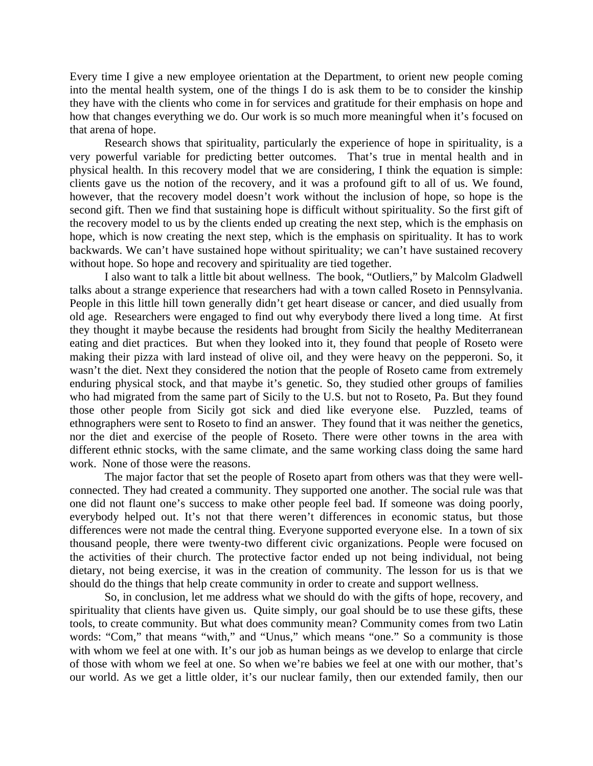Every time I give a new employee orientation at the Department, to orient new people coming into the mental health system, one of the things I do is ask them to be to consider the kinship they have with the clients who come in for services and gratitude for their emphasis on hope and how that changes everything we do. Our work is so much more meaningful when it's focused on that arena of hope.

Research shows that spirituality, particularly the experience of hope in spirituality, is a very powerful variable for predicting better outcomes. That's true in mental health and in physical health. In this recovery model that we are considering, I think the equation is simple: clients gave us the notion of the recovery, and it was a profound gift to all of us. We found, however, that the recovery model doesn't work without the inclusion of hope, so hope is the second gift. Then we find that sustaining hope is difficult without spirituality. So the first gift of the recovery model to us by the clients ended up creating the next step, which is the emphasis on hope, which is now creating the next step, which is the emphasis on spirituality. It has to work backwards. We can't have sustained hope without spirituality; we can't have sustained recovery without hope. So hope and recovery and spirituality are tied together.

I also want to talk a little bit about wellness. The book, "Outliers," by Malcolm Gladwell talks about a strange experience that researchers had with a town called Roseto in Pennsylvania. People in this little hill town generally didn't get heart disease or cancer, and died usually from old age. Researchers were engaged to find out why everybody there lived a long time. At first they thought it maybe because the residents had brought from Sicily the healthy Mediterranean eating and diet practices. But when they looked into it, they found that people of Roseto were making their pizza with lard instead of olive oil, and they were heavy on the pepperoni. So, it wasn't the diet. Next they considered the notion that the people of Roseto came from extremely enduring physical stock, and that maybe it's genetic. So, they studied other groups of families who had migrated from the same part of Sicily to the U.S. but not to Roseto, Pa. But they found those other people from Sicily got sick and died like everyone else. Puzzled, teams of ethnographers were sent to Roseto to find an answer. They found that it was neither the genetics, nor the diet and exercise of the people of Roseto. There were other towns in the area with different ethnic stocks, with the same climate, and the same working class doing the same hard work. None of those were the reasons.

The major factor that set the people of Roseto apart from others was that they were wellconnected. They had created a community. They supported one another. The social rule was that one did not flaunt one's success to make other people feel bad. If someone was doing poorly, everybody helped out. It's not that there weren't differences in economic status, but those differences were not made the central thing. Everyone supported everyone else. In a town of six thousand people, there were twenty-two different civic organizations. People were focused on the activities of their church. The protective factor ended up not being individual, not being dietary, not being exercise, it was in the creation of community. The lesson for us is that we should do the things that help create community in order to create and support wellness.

So, in conclusion, let me address what we should do with the gifts of hope, recovery, and spirituality that clients have given us. Quite simply, our goal should be to use these gifts, these tools, to create community. But what does community mean? Community comes from two Latin words: "Com," that means "with," and "Unus," which means "one." So a community is those with whom we feel at one with. It's our job as human beings as we develop to enlarge that circle of those with whom we feel at one. So when we're babies we feel at one with our mother, that's our world. As we get a little older, it's our nuclear family, then our extended family, then our